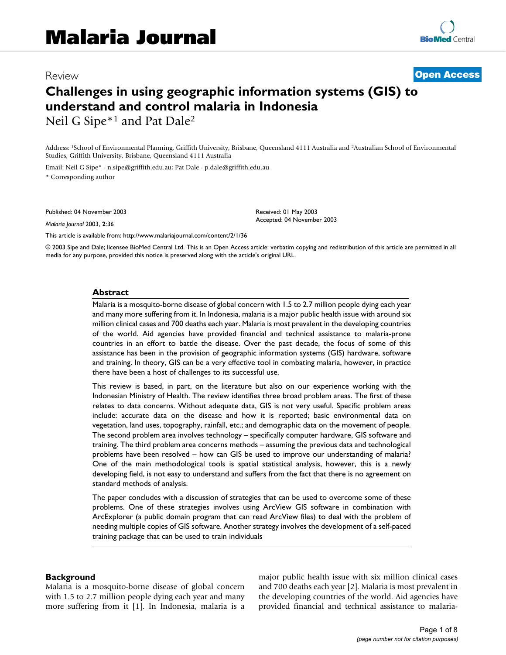# Review **[Open Access](http://www.biomedcentral.com/info/about/charter/)**

# **Challenges in using geographic information systems (GIS) to understand and control malaria in Indonesia** Neil G Sipe\*1 and Pat Dale2

Address: 1School of Environmental Planning, Griffith University, Brisbane, Queensland 4111 Australia and 2Australian School of Environmental Studies, Griffith University, Brisbane, Queensland 4111 Australia

Email: Neil G Sipe\* - n.sipe@griffith.edu.au; Pat Dale - p.dale@griffith.edu.au \* Corresponding author

Published: 04 November 2003

*Malaria Journal* 2003, **2**:36

[This article is available from: http://www.malariajournal.com/content/2/1/36](http://www.malariajournal.com/content/2/1/36)

© 2003 Sipe and Dale; licensee BioMed Central Ltd. This is an Open Access article: verbatim copying and redistribution of this article are permitted in all media for any purpose, provided this notice is preserved along with the article's original URL.

Received: 01 May 2003 Accepted: 04 November 2003

#### **Abstract**

Malaria is a mosquito-borne disease of global concern with 1.5 to 2.7 million people dying each year and many more suffering from it. In Indonesia, malaria is a major public health issue with around six million clinical cases and 700 deaths each year. Malaria is most prevalent in the developing countries of the world. Aid agencies have provided financial and technical assistance to malaria-prone countries in an effort to battle the disease. Over the past decade, the focus of some of this assistance has been in the provision of geographic information systems (GIS) hardware, software and training. In theory, GIS can be a very effective tool in combating malaria, however, in practice there have been a host of challenges to its successful use.

This review is based, in part, on the literature but also on our experience working with the Indonesian Ministry of Health. The review identifies three broad problem areas. The first of these relates to data concerns. Without adequate data, GIS is not very useful. Specific problem areas include: accurate data on the disease and how it is reported; basic environmental data on vegetation, land uses, topography, rainfall, etc.; and demographic data on the movement of people. The second problem area involves technology – specifically computer hardware, GIS software and training. The third problem area concerns methods – assuming the previous data and technological problems have been resolved – how can GIS be used to improve our understanding of malaria? One of the main methodological tools is spatial statistical analysis, however, this is a newly developing field, is not easy to understand and suffers from the fact that there is no agreement on standard methods of analysis.

The paper concludes with a discussion of strategies that can be used to overcome some of these problems. One of these strategies involves using ArcView GIS software in combination with ArcExplorer (a public domain program that can read ArcView files) to deal with the problem of needing multiple copies of GIS software. Another strategy involves the development of a self-paced training package that can be used to train individuals

#### **Background**

Malaria is a mosquito-borne disease of global concern with 1.5 to 2.7 million people dying each year and many more suffering from it [1]. In Indonesia, malaria is a major public health issue with six million clinical cases and 700 deaths each year [2]. Malaria is most prevalent in the developing countries of the world. Aid agencies have provided financial and technical assistance to malaria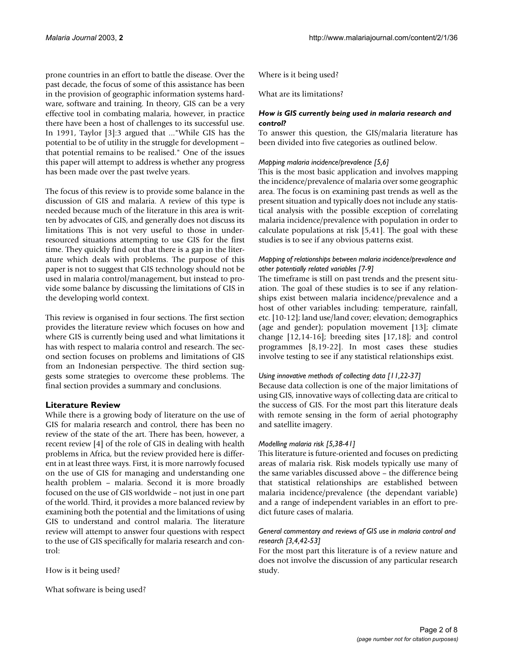prone countries in an effort to battle the disease. Over the past decade, the focus of some of this assistance has been in the provision of geographic information systems hardware, software and training. In theory, GIS can be a very effective tool in combating malaria, however, in practice there have been a host of challenges to its successful use. In 1991, Taylor [3]:3 argued that ..."While GIS has the potential to be of utility in the struggle for development – that potential remains to be realised." One of the issues this paper will attempt to address is whether any progress has been made over the past twelve years.

The focus of this review is to provide some balance in the discussion of GIS and malaria. A review of this type is needed because much of the literature in this area is written by advocates of GIS, and generally does not discuss its limitations This is not very useful to those in underresourced situations attempting to use GIS for the first time. They quickly find out that there is a gap in the literature which deals with problems. The purpose of this paper is not to suggest that GIS technology should not be used in malaria control/management, but instead to provide some balance by discussing the limitations of GIS in the developing world context.

This review is organised in four sections. The first section provides the literature review which focuses on how and where GIS is currently being used and what limitations it has with respect to malaria control and research. The second section focuses on problems and limitations of GIS from an Indonesian perspective. The third section suggests some strategies to overcome these problems. The final section provides a summary and conclusions.

# **Literature Review**

While there is a growing body of literature on the use of GIS for malaria research and control, there has been no review of the state of the art. There has been, however, a recent review [4] of the role of GIS in dealing with health problems in Africa, but the review provided here is different in at least three ways. First, it is more narrowly focused on the use of GIS for managing and understanding one health problem – malaria. Second it is more broadly focused on the use of GIS worldwide – not just in one part of the world. Third, it provides a more balanced review by examining both the potential and the limitations of using GIS to understand and control malaria. The literature review will attempt to answer four questions with respect to the use of GIS specifically for malaria research and control:

How is it being used?

What software is being used?

#### Where is it being used?

What are its limitations?

#### *How is GIS currently being used in malaria research and control?*

To answer this question, the GIS/malaria literature has been divided into five categories as outlined below.

#### *Mapping malaria incidence/prevalence [5,6]*

This is the most basic application and involves mapping the incidence/prevalence of malaria over some geographic area. The focus is on examining past trends as well as the present situation and typically does not include any statistical analysis with the possible exception of correlating malaria incidence/prevalence with population in order to calculate populations at risk [5,41]. The goal with these studies is to see if any obvious patterns exist.

#### *Mapping of relationships between malaria incidence/prevalence and other potentially related variables [7-9]*

The timeframe is still on past trends and the present situation. The goal of these studies is to see if any relationships exist between malaria incidence/prevalence and a host of other variables including: temperature, rainfall, etc. [10-12]; land use/land cover; elevation; demographics (age and gender); population movement [13]; climate change [12,14-16]; breeding sites [17,18]; and control programmes [8,19-22]. In most cases these studies involve testing to see if any statistical relationships exist.

#### *Using innovative methods of collecting data [11,22-37]*

Because data collection is one of the major limitations of using GIS, innovative ways of collecting data are critical to the success of GIS. For the most part this literature deals with remote sensing in the form of aerial photography and satellite imagery.

# *Modelling malaria risk [5,38-41]*

This literature is future-oriented and focuses on predicting areas of malaria risk. Risk models typically use many of the same variables discussed above – the difference being that statistical relationships are established between malaria incidence/prevalence (the dependant variable) and a range of independent variables in an effort to predict future cases of malaria.

#### *General commentary and reviews of GIS use in malaria control and research [3,4,42-53]*

For the most part this literature is of a review nature and does not involve the discussion of any particular research study.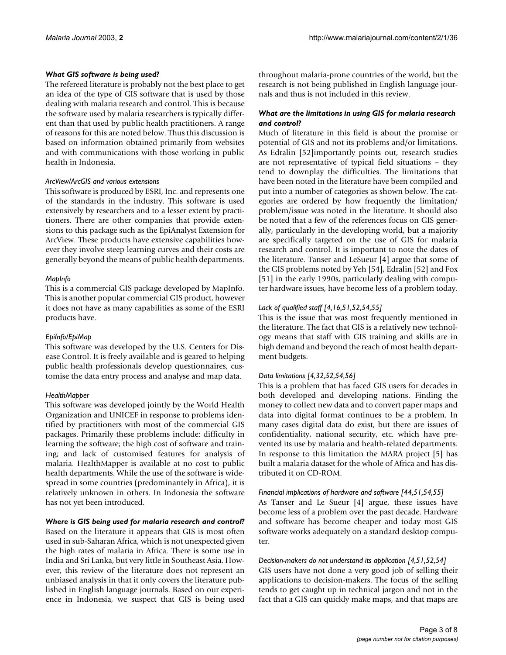#### *What GIS software is being used?*

The refereed literature is probably not the best place to get an idea of the type of GIS software that is used by those dealing with malaria research and control. This is because the software used by malaria researchers is typically different than that used by public health practitioners. A range of reasons for this are noted below. Thus this discussion is based on information obtained primarily from websites and with communications with those working in public health in Indonesia.

#### *ArcView/ArcGIS and various extensions*

This software is produced by ESRI, Inc. and represents one of the standards in the industry. This software is used extensively by researchers and to a lesser extent by practitioners. There are other companies that provide extensions to this package such as the EpiAnalyst Extension for ArcView. These products have extensive capabilities however they involve steep learning curves and their costs are generally beyond the means of public health departments.

# *MapInfo*

This is a commercial GIS package developed by MapInfo. This is another popular commercial GIS product, however it does not have as many capabilities as some of the ESRI products have.

# *EpiInfo/EpiMap*

This software was developed by the U.S. Centers for Disease Control. It is freely available and is geared to helping public health professionals develop questionnaires, customise the data entry process and analyse and map data.

# *HealthMapper*

This software was developed jointly by the World Health Organization and UNICEF in response to problems identified by practitioners with most of the commercial GIS packages. Primarily these problems include: difficulty in learning the software; the high cost of software and training; and lack of customised features for analysis of malaria. HealthMapper is available at no cost to public health departments. While the use of the software is widespread in some countries (predominantely in Africa), it is relatively unknown in others. In Indonesia the software has not yet been introduced.

# *Where is GIS being used for malaria research and control?*

Based on the literature it appears that GIS is most often used in sub-Saharan Africa, which is not unexpected given the high rates of malaria in Africa. There is some use in India and Sri Lanka, but very little in Southeast Asia. However, this review of the literature does not represent an unbiased analysis in that it only covers the literature published in English language journals. Based on our experience in Indonesia, we suspect that GIS is being used throughout malaria-prone countries of the world, but the research is not being published in English language journals and thus is not included in this review.

# *What are the limitations in using GIS for malaria research and control?*

Much of literature in this field is about the promise or potential of GIS and not its problems and/or limitations. As Edralin [52]importantly points out, research studies are not representative of typical field situations – they tend to downplay the difficulties. The limitations that have been noted in the literature have been compiled and put into a number of categories as shown below. The categories are ordered by how frequently the limitation/ problem/issue was noted in the literature. It should also be noted that a few of the references focus on GIS generally, particularly in the developing world, but a majority are specifically targeted on the use of GIS for malaria research and control. It is important to note the dates of the literature. Tanser and LeSueur [4] argue that some of the GIS problems noted by Yeh [54], Edralin [52] and Fox [51] in the early 1990s, particularly dealing with computer hardware issues, have become less of a problem today.

# *Lack of qualified staff [4,16,51,52,54,55]*

This is the issue that was most frequently mentioned in the literature. The fact that GIS is a relatively new technology means that staff with GIS training and skills are in high demand and beyond the reach of most health department budgets.

# *Data limitations [4,32,52,54,56]*

This is a problem that has faced GIS users for decades in both developed and developing nations. Finding the money to collect new data and to convert paper maps and data into digital format continues to be a problem. In many cases digital data do exist, but there are issues of confidentiality, national security, etc. which have prevented its use by malaria and health-related departments. In response to this limitation the MARA project [5] has built a malaria dataset for the whole of Africa and has distributed it on CD-ROM.

# *Financial implications of hardware and software [44,51,54,55]*

As Tanser and Le Sueur [4] argue, these issues have become less of a problem over the past decade. Hardware and software has become cheaper and today most GIS software works adequately on a standard desktop computer.

# *Decision-makers do not understand its application [4,51,52,54]* GIS users have not done a very good job of selling their applications to decision-makers. The focus of the selling tends to get caught up in technical jargon and not in the fact that a GIS can quickly make maps, and that maps are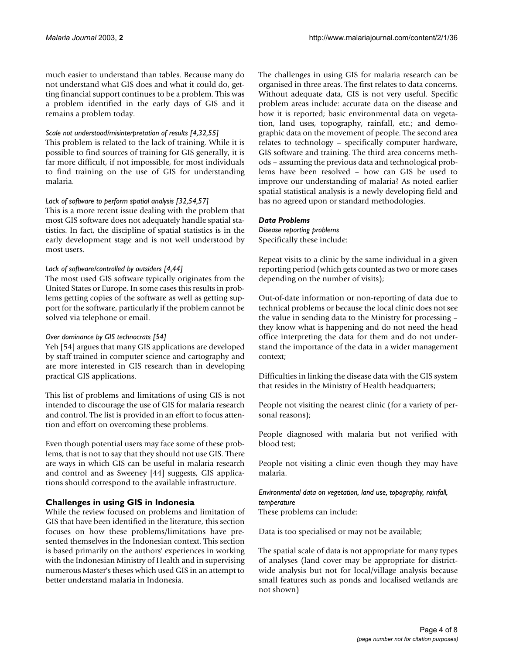much easier to understand than tables. Because many do not understand what GIS does and what it could do, getting financial support continues to be a problem. This was a problem identified in the early days of GIS and it remains a problem today.

# *Scale not understood/misinterpretation of results [4,32,55]*

This problem is related to the lack of training. While it is possible to find sources of training for GIS generally, it is far more difficult, if not impossible, for most individuals to find training on the use of GIS for understanding malaria.

# *Lack of software to perform spatial analysis [32,54,57]*

This is a more recent issue dealing with the problem that most GIS software does not adequately handle spatial statistics. In fact, the discipline of spatial statistics is in the early development stage and is not well understood by most users.

# *Lack of software/controlled by outsiders [4,44]*

The most used GIS software typically originates from the United States or Europe. In some cases this results in problems getting copies of the software as well as getting support for the software, particularly if the problem cannot be solved via telephone or email.

# *Over dominance by GIS technocrats [54]*

Yeh [54] argues that many GIS applications are developed by staff trained in computer science and cartography and are more interested in GIS research than in developing practical GIS applications.

This list of problems and limitations of using GIS is not intended to discourage the use of GIS for malaria research and control. The list is provided in an effort to focus attention and effort on overcoming these problems.

Even though potential users may face some of these problems, that is not to say that they should not use GIS. There are ways in which GIS can be useful in malaria research and control and as Sweeney [44] suggests, GIS applications should correspond to the available infrastructure.

# **Challenges in using GIS in Indonesia**

While the review focused on problems and limitation of GIS that have been identified in the literature, this section focuses on how these problems/limitations have presented themselves in the Indonesian context. This section is based primarily on the authors' experiences in working with the Indonesian Ministry of Health and in supervising numerous Master's theses which used GIS in an attempt to better understand malaria in Indonesia.

The challenges in using GIS for malaria research can be organised in three areas. The first relates to data concerns. Without adequate data, GIS is not very useful. Specific problem areas include: accurate data on the disease and how it is reported; basic environmental data on vegetation, land uses, topography, rainfall, etc.; and demographic data on the movement of people. The second area relates to technology – specifically computer hardware, GIS software and training. The third area concerns methods – assuming the previous data and technological problems have been resolved – how can GIS be used to improve our understanding of malaria? As noted earlier spatial statistical analysis is a newly developing field and has no agreed upon or standard methodologies.

# *Data Problems*

*Disease reporting problems* Specifically these include:

Repeat visits to a clinic by the same individual in a given reporting period (which gets counted as two or more cases depending on the number of visits);

Out-of-date information or non-reporting of data due to technical problems or because the local clinic does not see the value in sending data to the Ministry for processing – they know what is happening and do not need the head office interpreting the data for them and do not understand the importance of the data in a wider management context;

Difficulties in linking the disease data with the GIS system that resides in the Ministry of Health headquarters;

People not visiting the nearest clinic (for a variety of personal reasons);

People diagnosed with malaria but not verified with blood test;

People not visiting a clinic even though they may have malaria.

*Environmental data on vegetation, land use, topography, rainfall, temperature*

These problems can include:

Data is too specialised or may not be available;

The spatial scale of data is not appropriate for many types of analyses (land cover may be appropriate for districtwide analysis but not for local/village analysis because small features such as ponds and localised wetlands are not shown)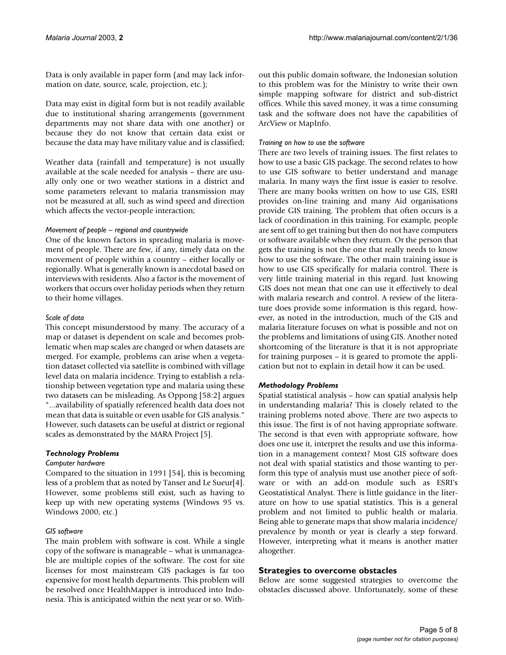Data is only available in paper form (and may lack information on date, source, scale, projection, etc.);

Data may exist in digital form but is not readily available due to institutional sharing arrangements (government departments may not share data with one another) or because they do not know that certain data exist or because the data may have military value and is classified;

Weather data (rainfall and temperature) is not usually available at the scale needed for analysis – there are usually only one or two weather stations in a district and some parameters relevant to malaria transmission may not be measured at all, such as wind speed and direction which affects the vector-people interaction;

#### *Movement of people – regional and countrywide*

One of the known factors in spreading malaria is movement of people. There are few, if any, timely data on the movement of people within a country – either locally or regionally. What is generally known is anecdotal based on interviews with residents. Also a factor is the movement of workers that occurs over holiday periods when they return to their home villages.

#### *Scale of data*

This concept misunderstood by many. The accuracy of a map or dataset is dependent on scale and becomes problematic when map scales are changed or when datasets are merged. For example, problems can arise when a vegetation dataset collected via satellite is combined with village level data on malaria incidence. Trying to establish a relationship between vegetation type and malaria using these two datasets can be misleading. As Oppong [58:2] argues "...availability of spatially referenced health data does not mean that data is suitable or even usable for GIS analysis." However, such datasets can be useful at district or regional scales as demonstrated by the MARA Project [5].

# *Technology Problems*

#### *Computer hardware*

Compared to the situation in 1991 [54], this is becoming less of a problem that as noted by Tanser and Le Sueur[4]. However, some problems still exist, such as having to keep up with new operating systems (Windows 95 vs. Windows 2000, etc.)

#### *GIS software*

The main problem with software is cost. While a single copy of the software is manageable – what is unmanageable are multiple copies of the software. The cost for site licenses for most mainstream GIS packages is far too expensive for most health departments. This problem will be resolved once HealthMapper is introduced into Indonesia. This is anticipated within the next year or so. Without this public domain software, the Indonesian solution to this problem was for the Ministry to write their own simple mapping software for district and sub-district offices. While this saved money, it was a time consuming task and the software does not have the capabilities of ArcView or MapInfo.

#### *Training on how to use the software*

There are two levels of training issues. The first relates to how to use a basic GIS package. The second relates to how to use GIS software to better understand and manage malaria. In many ways the first issue is easier to resolve. There are many books written on how to use GIS, ESRI provides on-line training and many Aid organisations provide GIS training. The problem that often occurs is a lack of coordination in this training. For example, people are sent off to get training but then do not have computers or software available when they return. Or the person that gets the training is not the one that really needs to know how to use the software. The other main training issue is how to use GIS specifically for malaria control. There is very little training material in this regard. Just knowing GIS does not mean that one can use it effectively to deal with malaria research and control. A review of the literature does provide some information is this regard, however, as noted in the introduction, much of the GIS and malaria literature focuses on what is possible and not on the problems and limitations of using GIS. Another noted shortcoming of the literature is that it is not appropriate for training purposes – it is geared to promote the application but not to explain in detail how it can be used.

#### *Methodology Problems*

Spatial statistical analysis – how can spatial analysis help in understanding malaria? This is closely related to the training problems noted above. There are two aspects to this issue. The first is of not having appropriate software. The second is that even with appropriate software, how does one use it, interpret the results and use this information in a management context? Most GIS software does not deal with spatial statistics and those wanting to perform this type of analysis must use another piece of software or with an add-on module such as ESRI's Geostatistical Analyst. There is little guidance in the literature on how to use spatial statistics. This is a general problem and not limited to public health or malaria. Being able to generate maps that show malaria incidence/ prevalence by month or year is clearly a step forward. However, interpreting what it means is another matter altogether.

# **Strategies to overcome obstacles**

Below are some suggested strategies to overcome the obstacles discussed above. Unfortunately, some of these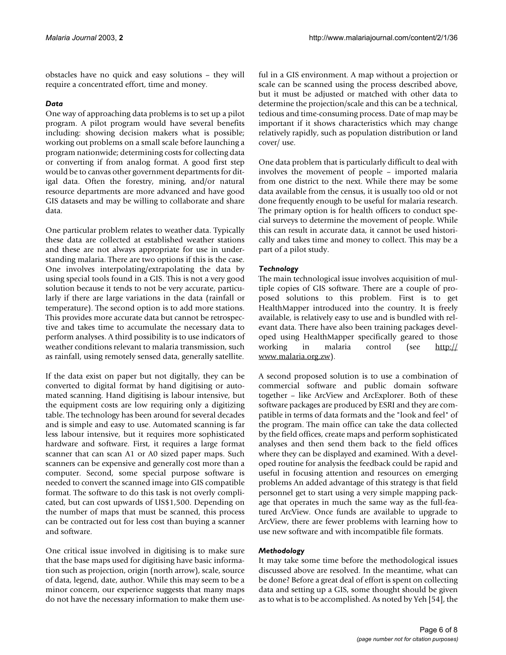obstacles have no quick and easy solutions – they will require a concentrated effort, time and money.

# *Data*

One way of approaching data problems is to set up a pilot program. A pilot program would have several benefits including: showing decision makers what is possible; working out problems on a small scale before launching a program nationwide; determining costs for collecting data or converting if from analog format. A good first step would be to canvas other government departments for ditigal data. Often the forestry, mining, and/or natural resource departments are more advanced and have good GIS datasets and may be willing to collaborate and share data.

One particular problem relates to weather data. Typically these data are collected at established weather stations and these are not always appropriate for use in understanding malaria. There are two options if this is the case. One involves interpolating/extrapolating the data by using special tools found in a GIS. This is not a very good solution because it tends to not be very accurate, particularly if there are large variations in the data (rainfall or temperature). The second option is to add more stations. This provides more accurate data but cannot be retrospective and takes time to accumulate the necessary data to perform analyses. A third possibility is to use indicators of weather conditions relevant to malaria transmission, such as rainfall, using remotely sensed data, generally satellite.

If the data exist on paper but not digitally, they can be converted to digital format by hand digitising or automated scanning. Hand digitising is labour intensive, but the equipment costs are low requiring only a digitizing table. The technology has been around for several decades and is simple and easy to use. Automated scanning is far less labour intensive, but it requires more sophisticated hardware and software. First, it requires a large format scanner that can scan A1 or A0 sized paper maps. Such scanners can be expensive and generally cost more than a computer. Second, some special purpose software is needed to convert the scanned image into GIS compatible format. The software to do this task is not overly complicated, but can cost upwards of US\$1,500. Depending on the number of maps that must be scanned, this process can be contracted out for less cost than buying a scanner and software.

One critical issue involved in digitising is to make sure that the base maps used for digitising have basic information such as projection, origin (north arrow), scale, source of data, legend, date, author. While this may seem to be a minor concern, our experience suggests that many maps do not have the necessary information to make them useful in a GIS environment. A map without a projection or scale can be scanned using the process described above, but it must be adjusted or matched with other data to determine the projection/scale and this can be a technical, tedious and time-consuming process. Date of map may be important if it shows characteristics which may change relatively rapidly, such as population distribution or land cover/ use.

One data problem that is particularly difficult to deal with involves the movement of people – imported malaria from one district to the next. While there may be some data available from the census, it is usually too old or not done frequently enough to be useful for malaria research. The primary option is for health officers to conduct special surveys to determine the movement of people. While this can result in accurate data, it cannot be used historically and takes time and money to collect. This may be a part of a pilot study.

# *Technology*

The main technological issue involves acquisition of multiple copies of GIS software. There are a couple of proposed solutions to this problem. First is to get HealthMapper introduced into the country. It is freely available, is relatively easy to use and is bundled with relevant data. There have also been training packages developed using HealthMapper specifically geared to those working in malaria control (see [http://](http://www.malaria.org.zw) [www.malaria.org.zw\)](http://www.malaria.org.zw).

A second proposed solution is to use a combination of commercial software and public domain software together – like ArcView and ArcExplorer. Both of these software packages are produced by ESRI and they are compatible in terms of data formats and the "look and feel" of the program. The main office can take the data collected by the field offices, create maps and perform sophisticated analyses and then send them back to the field offices where they can be displayed and examined. With a developed routine for analysis the feedback could be rapid and useful in focusing attention and resources on emerging problems An added advantage of this strategy is that field personnel get to start using a very simple mapping package that operates in much the same way as the full-featured ArcView. Once funds are available to upgrade to ArcView, there are fewer problems with learning how to use new software and with incompatible file formats.

# *Methodology*

It may take some time before the methodological issues discussed above are resolved. In the meantime, what can be done? Before a great deal of effort is spent on collecting data and setting up a GIS, some thought should be given as to what is to be accomplished. As noted by Yeh [54], the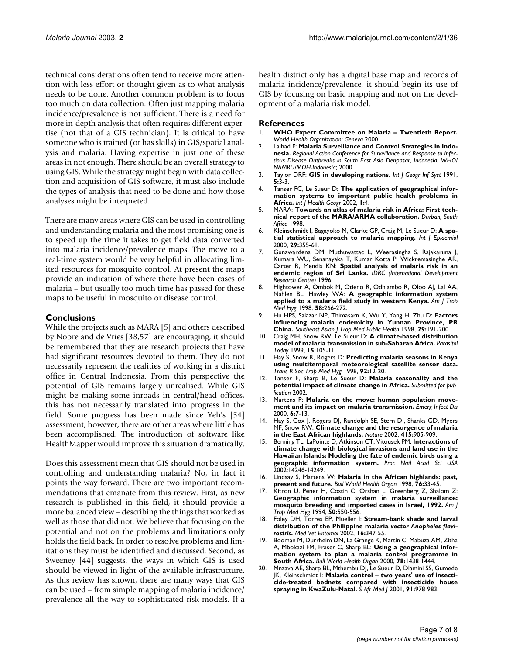technical considerations often tend to receive more attention with less effort or thought given as to what analysis needs to be done. Another common problem is to focus too much on data collection. Often just mapping malaria incidence/prevalence is not sufficient. There is a need for more in-depth analysis that often requires different expertise (not that of a GIS technician). It is critical to have someone who is trained (or has skills) in GIS/spatial analysis and malaria. Having expertise in just one of these areas in not enough. There should be an overall strategy to using GIS. While the strategy might begin with data collection and acquisition of GIS software, it must also include the types of analysis that need to be done and how those analyses might be interpreted.

There are many areas where GIS can be used in controlling and understanding malaria and the most promising one is to speed up the time it takes to get field data converted into malaria incidence/prevalence maps. The move to a real-time system would be very helpful in allocating limited resources for mosquito control. At present the maps provide an indication of where there have been cases of malaria – but usually too much time has passed for these maps to be useful in mosquito or disease control.

#### **Conclusions**

While the projects such as MARA [5] and others described by Nobre and de Vries [38,57] are encouraging, it should be remembered that they are research projects that have had significant resources devoted to them. They do not necessarily represent the realities of working in a district office in Central Indonesia. From this perspective the potential of GIS remains largely unrealised. While GIS might be making some inroads in central/head offices, this has not necessarily translated into progress in the field. Some progress has been made since Yeh's [54] assessment, however, there are other areas where little has been accomplished. The introduction of software like HealthMapper would improve this situation dramatically.

Does this assessment mean that GIS should not be used in controlling and understanding malaria? No, in fact it points the way forward. There are two important recommendations that emanate from this review. First, as new research is published in this field, it should provide a more balanced view – describing the things that worked as well as those that did not. We believe that focusing on the potential and not on the problems and limitations only holds the field back. In order to resolve problems and limitations they must be identified and discussed. Second, as Sweeney [44] suggests, the ways in which GIS is used should be viewed in light of the available infrastructure. As this review has shown, there are many ways that GIS can be used – from simple mapping of malaria incidence/ prevalence all the way to sophisticated risk models. If a health district only has a digital base map and records of malaria incidence/prevalence, it should begin its use of GIS by focusing on basic mapping and not on the development of a malaria risk model.

#### **References**

- 1. **WHO Expert Committee on Malaria Twentieth Report.** *World Health Organization: Geneva* 2000.
- 2. Laihad F: **Malaria Surveillance and Control Strategies in Indonesia.** *Regional Action Conference for Surveillance and Response to Infectious Disease Outbreaks in South East Asia Denpasar, Indonesia: WHO/ NAMRU/MOH-Indonesia*; 2000.
- 3. Taylor DRF: **GIS in developing nations.** *Int J Geogr Inf Syst* 1991, **5:**3-3.
- 4. Tanser FC, Le Sueur D: **[The application of geographical infor](http://www.ncbi.nlm.nih.gov/entrez/query.fcgi?cmd=Retrieve&db=PubMed&dopt=Abstract&list_uids=149399)[mation systems to important public health problems in](http://www.ncbi.nlm.nih.gov/entrez/query.fcgi?cmd=Retrieve&db=PubMed&dopt=Abstract&list_uids=149399) [Africa](http://www.ncbi.nlm.nih.gov/entrez/query.fcgi?cmd=Retrieve&db=PubMed&dopt=Abstract&list_uids=149399)[.](http://www.ncbi.nlm.nih.gov/entrez/query.fcgi?cmd=Retrieve&db=PubMed&dopt=Abstract&list_uids=10.1186/1476-072X-1-4)** *Int J Health Geogr* 2002, **1:**4.
- 5. MARA: **Towards an atlas of malaria risk in Africa: First technical report of the MARA/ARMA collaboration.** *Durban, South Africa* 1998.
- 6. Kleinschmidt I, Bagayoko M, Clarke GP, Craig M, Le Sueur D: **[A spa](http://www.ncbi.nlm.nih.gov/entrez/query.fcgi?cmd=Retrieve&db=PubMed&dopt=Abstract&list_uids=10.1093/ije/29.2.355)[tial statistical approach to malaria mapping](http://www.ncbi.nlm.nih.gov/entrez/query.fcgi?cmd=Retrieve&db=PubMed&dopt=Abstract&list_uids=10.1093/ije/29.2.355)[.](http://www.ncbi.nlm.nih.gov/entrez/query.fcgi?cmd=Retrieve&db=PubMed&dopt=Abstract&list_uids=10817136)** *Int J Epidemiol* 2000, **29:**355-61.
- 7. Gunawardena DM, Muthuwattac L, Weerasingha S, Rajakaruna J, Kumara WU, Senanayaka T, Kumar Kotta P, Wickremasinghe AR, Carter R, Mendis KN: **Spatial analysis of malaria risk in an endemic region of Sri Lanka.** *IDRC (International Development Research Centre)* 1996.
- 8. Hightower A, Ombok M, Otieno R, Odhiambo R, Oloo AJ, Lal AA, Nahlen BL, Hawley WA: **[A geographic information system](http://www.ncbi.nlm.nih.gov/entrez/query.fcgi?cmd=Retrieve&db=PubMed&dopt=Abstract&list_uids=9546401) [applied to a malaria field study in western Kenya.](http://www.ncbi.nlm.nih.gov/entrez/query.fcgi?cmd=Retrieve&db=PubMed&dopt=Abstract&list_uids=9546401)** *Am J Trop Med Hyg* 1998, **58:**266-272.
- 9. Hu HPS, Salazar NP, Thimasarn K, Wu Y, Yang H, Zhu D: **[Factors](http://www.ncbi.nlm.nih.gov/entrez/query.fcgi?cmd=Retrieve&db=PubMed&dopt=Abstract&list_uids=9886099) [influencing malaria endemicity in Yunnan Province, PR](http://www.ncbi.nlm.nih.gov/entrez/query.fcgi?cmd=Retrieve&db=PubMed&dopt=Abstract&list_uids=9886099) [China.](http://www.ncbi.nlm.nih.gov/entrez/query.fcgi?cmd=Retrieve&db=PubMed&dopt=Abstract&list_uids=9886099)** *Southeast Asian J Trop Med Public Health* 1998, **29:**191-200.
- 10. Craig MH, Snow RW, Le Sueur D: **[A climate-based distribution](http://www.ncbi.nlm.nih.gov/entrez/query.fcgi?cmd=Retrieve&db=PubMed&dopt=Abstract&list_uids=10.1016/S0169-4758(99)01396-4) [model of malaria transmission in sub-Saharan Africa](http://www.ncbi.nlm.nih.gov/entrez/query.fcgi?cmd=Retrieve&db=PubMed&dopt=Abstract&list_uids=10.1016/S0169-4758(99)01396-4)[.](http://www.ncbi.nlm.nih.gov/entrez/query.fcgi?cmd=Retrieve&db=PubMed&dopt=Abstract&list_uids=10322323)** *Parasitol Today* 1999, **15:**105-11.
- 11. Hay S, Snow R, Rogers D: **[Predicting malaria seasons in Kenya](http://www.ncbi.nlm.nih.gov/entrez/query.fcgi?cmd=Retrieve&db=PubMed&dopt=Abstract&list_uids=9692138) [using multitemporal meteorological satellite sensor data.](http://www.ncbi.nlm.nih.gov/entrez/query.fcgi?cmd=Retrieve&db=PubMed&dopt=Abstract&list_uids=9692138)** *Trans R Soc Trop Med Hyg* 1998, **92:**12-20.
- 12. Tanser F, Sharp B, Le Sueur D: **Malaria seasonality and the potential impact of climate change in Africa.** *Submitted for publication* 2002.
- 13. Martens P: **Malaria on the move: human population movement and its impact on malaria transmission.** *Emerg Infect Dis* 2000, **6:**7-13.
- 14. Hay S, Cox J, Rogers DJ, Randolph SE, Stern DI, Shanks GD, Myers MF, Snow RW: **[Climate change and the resurgence of malaria](http://www.ncbi.nlm.nih.gov/entrez/query.fcgi?cmd=Retrieve&db=PubMed&dopt=Abstract&list_uids=10.1038/415905a) [in the East African highlands](http://www.ncbi.nlm.nih.gov/entrez/query.fcgi?cmd=Retrieve&db=PubMed&dopt=Abstract&list_uids=10.1038/415905a)[.](http://www.ncbi.nlm.nih.gov/entrez/query.fcgi?cmd=Retrieve&db=PubMed&dopt=Abstract&list_uids=11859368)** *Nature* 2002, **415:**905-909.
- 15. Benning TL, LaPointe D, Atkinson CT, Vitousek PM: **[Interactions of](http://www.ncbi.nlm.nih.gov/entrez/query.fcgi?cmd=Retrieve&db=PubMed&dopt=Abstract&list_uids=10.1073/pnas.162372399) climate change with biological invasions and land use in the [Hawaiian Islands: Modeling the fate of endemic birds using a](http://www.ncbi.nlm.nih.gov/entrez/query.fcgi?cmd=Retrieve&db=PubMed&dopt=Abstract&list_uids=10.1073/pnas.162372399) [geographic information system](http://www.ncbi.nlm.nih.gov/entrez/query.fcgi?cmd=Retrieve&db=PubMed&dopt=Abstract&list_uids=10.1073/pnas.162372399)[.](http://www.ncbi.nlm.nih.gov/entrez/query.fcgi?cmd=Retrieve&db=PubMed&dopt=Abstract&list_uids=137869)** *Proc Natl Acad Sci USA* 2002:14246-14249.
- 16. Lindsay S, Martens W: **[Malaria in the African highlands: past,](http://www.ncbi.nlm.nih.gov/entrez/query.fcgi?cmd=Retrieve&db=PubMed&dopt=Abstract&list_uids=9615495) [present and future.](http://www.ncbi.nlm.nih.gov/entrez/query.fcgi?cmd=Retrieve&db=PubMed&dopt=Abstract&list_uids=9615495)** *Bull World Health Organ* 1998, **76:**33-45.
- 17. Kitron U, Pener H, Costin C, Orshan L, Greenberg Z, Shalom Z: **[Geographic information system in malaria surveillance:](http://www.ncbi.nlm.nih.gov/entrez/query.fcgi?cmd=Retrieve&db=PubMed&dopt=Abstract&list_uids=8203702) [mosquito breeding and imported cases in Israel, 1992.](http://www.ncbi.nlm.nih.gov/entrez/query.fcgi?cmd=Retrieve&db=PubMed&dopt=Abstract&list_uids=8203702)** *Am J Trop Med Hyg* 1994, **50:**550-556.
- 18. Foley DH, Torres EP, Mueller I: **Stream-bank shade and larval distribution of the Philippine malaria** *vector Anopheles flavirostris***[.](http://www.ncbi.nlm.nih.gov/entrez/query.fcgi?cmd=Retrieve&db=PubMed&dopt=Abstract&list_uids=12510886)** *Med Vet Entomol* 2002, **16:**347-55.
- 19. Booman M, Durrheim DN, La Grange K, Martin C, Mabuza AM, Zitha A, Mbokazi FM, Fraser C, Sharp BL: **[Using a geographical infor](http://www.ncbi.nlm.nih.gov/entrez/query.fcgi?cmd=Retrieve&db=PubMed&dopt=Abstract&list_uids=11196490)[mation system to plan a malaria control programme in](http://www.ncbi.nlm.nih.gov/entrez/query.fcgi?cmd=Retrieve&db=PubMed&dopt=Abstract&list_uids=11196490) [South Africa.](http://www.ncbi.nlm.nih.gov/entrez/query.fcgi?cmd=Retrieve&db=PubMed&dopt=Abstract&list_uids=11196490)** *Bull World Health Organ* 2000, **78:**1438-1444.
- 20. Mnzava AE, Sharp BL, Mthembu DJ, Le Sueur D, Dlamini SS, Gumede JK, Kleinschmidt I: **[Malaria control – two years' use of insecti](http://www.ncbi.nlm.nih.gov/entrez/query.fcgi?cmd=Retrieve&db=PubMed&dopt=Abstract&list_uids=11847921)[cide-treated bednets compared with insecticide house](http://www.ncbi.nlm.nih.gov/entrez/query.fcgi?cmd=Retrieve&db=PubMed&dopt=Abstract&list_uids=11847921) [spraying in KwaZulu-Natal.](http://www.ncbi.nlm.nih.gov/entrez/query.fcgi?cmd=Retrieve&db=PubMed&dopt=Abstract&list_uids=11847921)** *S Afr Med J* 2001, **91:**978-983.